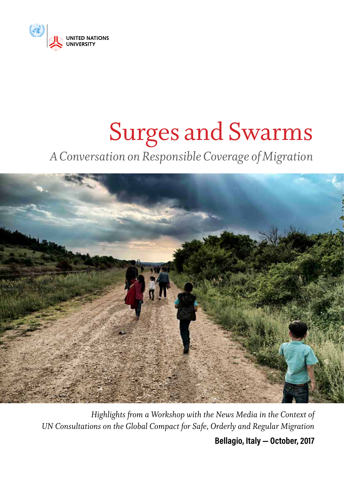

# Surges and Swarms

# *A Conversation on Responsible Coverage of Migration*



*Highlights from a Workshop with the News Media in the Context of UN Consultations on the Global Compact for Safe, Orderly and Regular Migration*

**Bellagio, Italy — October, 2017**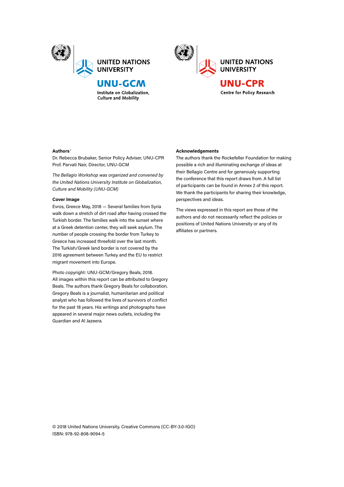



#### **Authors**<sup>1</sup>

Dr. Rebecca Brubaker, Senior Policy Adviser, UNU-CPR Prof. Parvati Nair, Director, UNU-GCM

*The Bellagio Workshop was organized and convened by the United Nations University Institute on Globalization, Culture and Mobility (UNU-GCM)*

#### **Cover Image**

Evros, Greece May, 2018 — Several families from Syria walk down a stretch of dirt road after having crossed the Turkish border. The families walk into the sunset where at a Greek detention center, they will seek asylum. The number of people crossing the border from Turkey to Greece has increased threefold over the last month. The Turkish/Greek land border is not covered by the 2016 agreement between Turkey and the EU to restrict migrant movement into Europe.

Photo copyright: UNU-GCM/Gregory Beals, 2018. All images within this report can be attributed to Gregory Beals. The authors thank Gregory Beals for collaboration. Gregory Beals is a journalist, humanitarian and political analyst who has followed the lives of survivors of conflict for the past 18 years. His writings and photographs have appeared in several major news outlets, including the Guardian and Al Jazeera.

#### **Acknowledgements**

The authors thank the Rockefeller Foundation for making possible a rich and illuminating exchange of ideas at their Bellagio Centre and for generously supporting the conference that this report draws from. A full list of participants can be found in Annex 2 of this report. We thank the participants for sharing their knowledge, perspectives and ideas.

The views expressed in this report are those of the authors and do not necessarily reflect the policies or positions of United Nations University or any of its affiliates or partners.

© 2018 United Nations University. Creative Commons (CC-BY-3.0-IGO) ISBN: 978-92-808-9094-5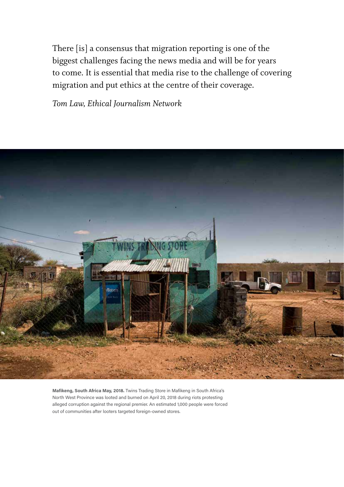There [is] a consensus that migration reporting is one of the biggest challenges facing the news media and will be for years to come. It is essential that media rise to the challenge of covering migration and put ethics at the centre of their coverage.

*Tom Law, Ethical Journalism Network*



**Mafikeng, South Africa May, 2018.** Twins Trading Store in Mafikeng in South Africa's North West Province was looted and burned on April 20, 2018 during riots protesting alleged corruption against the regional premier. An estimated 1,000 people were forced out of communities after looters targeted foreign-owned stores.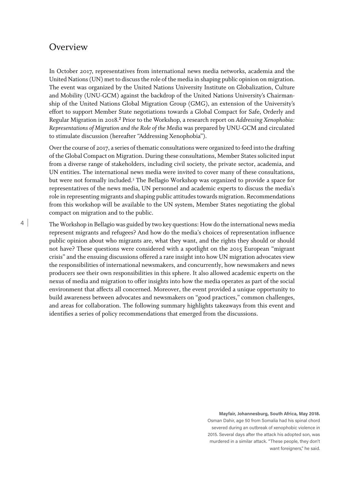### **Overview**

In October 2017, representatives from international news media networks, academia and the United Nations (UN) met to discuss the role of the media in shaping public opinion on migration. The event was organized by the United Nations University Institute on Globalization, Culture and Mobility (UNU-GCM) against the backdrop of the United Nations University's Chairmanship of the United Nations Global Migration Group (GMG), an extension of the University's effort to support Member State negotiations towards a Global Compact for Safe, Orderly and Regular Migration in 2018.2 Prior to the Workshop, a research report on *Addressing Xenophobia: Representations of Migration and the Role of the Media* was prepared by UNU-GCM and circulated to stimulate discussion (hereafter "Addressing Xenophobia").

Over the course of 2017, a series of thematic consultations were organized to feed into the drafting of the Global Compact on Migration. During these consultations, Member States solicited input from a diverse range of stakeholders, including civil society, the private sector, academia, and UN entities. The international news media were invited to cover many of these consultations, but were not formally included.<sup>3</sup> The Bellagio Workshop was organized to provide a space for representatives of the news media, UN personnel and academic experts to discuss the media's role in representing migrants and shaping public attitudes towards migration. Recommendations from this workshop will be available to the UN system, Member States negotiating the global compact on migration and to the public.

4 | The Workshop in Bellagio was guided by two key questions: How do the international news media represent migrants and refugees? And how do the media's choices of representation influence public opinion about who migrants are, what they want, and the rights they should or should not have? These questions were considered with a spotlight on the 2015 European "migrant crisis" and the ensuing discussions offered a rare insight into how UN migration advocates view the responsibilities of international newsmakers, and concurrently, how newsmakers and news producers see their own responsibilities in this sphere. It also allowed academic experts on the nexus of media and migration to offer insights into how the media operates as part of the social environment that affects all concerned. Moreover, the event provided a unique opportunity to build awareness between advocates and newsmakers on "good practices," common challenges, and areas for collaboration. The following summary highlights takeaways from this event and identifies a series of policy recommendations that emerged from the discussions.

> **Mayfair, Johannesburg, South Africa, May 2018.**  Osman Dahir, age 50 from Somalia had his spinal chord severed during an outbreak of xenophobic violence in 2015. Several days after the attack his adopted son, was murdered in a similar attack. "These people, they don't want foreigners," he said.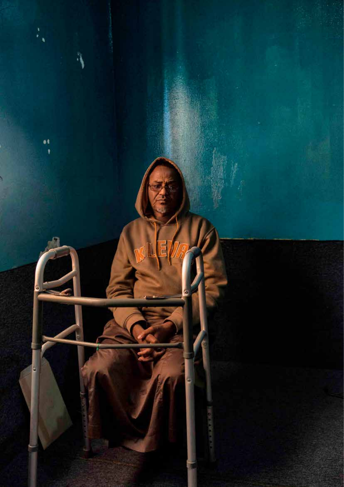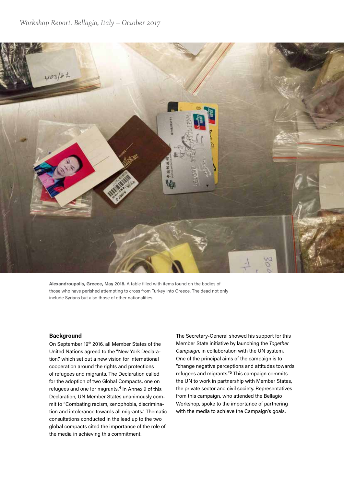

**Alexandroupolis, Greece, May 2018.** A table filled with items found on the bodies of those who have perished attempting to cross from Turkey into Greece. The dead not only include Syrians but also those of other nationalities.

#### **Background**

On September 19th 2016, all Member States of the United Nations agreed to the "New York Declaration," which set out a new vision for international cooperation around the rights and protections of refugees and migrants. The Declaration called for the adoption of two Global Compacts, one on refugees and one for migrants.<sup>4</sup> In Annex 2 of this Declaration, UN Member States unanimously commit to "Combating racism, xenophobia, discrimination and intolerance towards all migrants." Thematic consultations conducted in the lead up to the two global compacts cited the importance of the role of the media in achieving this commitment.

The Secretary-General showed his support for this Member State initiative by launching the *Together Campaign*, in collaboration with the UN system. One of the principal aims of the campaign is to "change negative perceptions and attitudes towards refugees and migrants."5 This campaign commits the UN to work in partnership with Member States, the private sector and civil society. Representatives from this campaign, who attended the Bellagio Workshop, spoke to the importance of partnering with the media to achieve the Campaign's goals.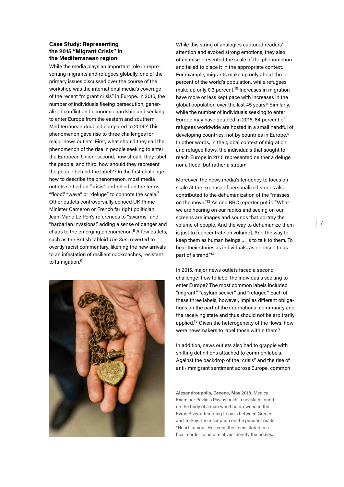#### **Case Study: Representing the 2015 "Migrant Crisis" in the Mediterranean region**

While the media plays an important role in representing migrants and refugees globally, one of the primary issues discussed over the course of the workshop was the international media's coverage of the recent "migrant crisis" in Europe. In 2015, the number of individuals fleeing persecution, generalized conflict and economic hardship and seeking to enter Europe from the eastern and southern Mediterranean doubled compared to 2014.<sup>6</sup> This phenomenon gave rise to three challenges for major news outlets. First, what should they call the phenomenon of the rise in people seeking to enter the European Union; second, how should they label the people; and third, how should they represent the people behind the label? On the first challenge: how to describe the phenomenon, most media outlets settled on "crisis" and relied on the terms "flood," "wave" or "deluge" to connote the scale.7 Other outlets controversially echoed UK Prime Minister Cameron or French far right politician Jean-Marie Le Pen's references to "swarms" and "barbarian invasions," adding a sense of danger and chaos to the emerging phenomenon. $8$  A few outlets, such as the British tabloid *The Sun*, reverted to overtly racist commentary, likening the new arrivals to an infestation of resilient cockroaches, resistant to fumigation.<sup>9</sup>



While this string of analogies captured readers' attention and evoked strong emotions, they also often misrepresented the scale of the phenomenon and failed to place it in the appropriate context. For example, migrants make up only about three percent of the world's population, while refugees make up only 0.3 percent.<sup>10</sup> Increases in migration have more or less kept pace with increases in the global population over the last 45 years.<sup>11</sup> Similarly, while the number of individuals seeking to enter Europe may have doubled in 2015, 84 percent of refugees worldwide are hosted in a small handful of developing countries, not by countries in Europe.<sup>12</sup> In other words, in the global context of migration and refugee flows, the individuals that sought to reach Europe in 2015 represented neither a deluge nor a flood, but rather a stream.

Moreover, the news media's tendency to focus on scale at the expense of personalized stories also contributed to the dehumanization of the "masses on the move."13 As one BBC reporter put it: "What we are hearing on our radios and seeing on our screens are images and sounds that portray the volume of people. And the way to dehumanize them is just to [concentrate on volume]. And the way to keep them as human beings … is to talk to them. To hear their stories as individuals, as opposed to as part of a trend."14

In 2015, major news outlets faced a second challenge: how to label the individuals seeking to enter Europe? The most common labels included "migrant," "asylum seeker" and "refugee." Each of these three labels, however, implies different obligations on the part of the international community and the receiving state and thus should not be arbitrarily applied.<sup>15</sup> Given the heterogeneity of the flows, how were newsmakers to label those within them?

In addition, news outlets also had to grapple with shifting definitions attached to common labels. Against the backdrop of the "crisis" and the rise of anti-immigrant sentiment across Europe, common

**Alexandroupolis, Greece, May 2018.** Medical Examiner Pavlidis Pavlos holds a necklace found on the body of a man who had drowned in the Evros River attempting to pass between Greece and Turkey. The inscription on the pendant reads "Heart for you." He keeps the items stored in a box in order to help relatives identify the bodies.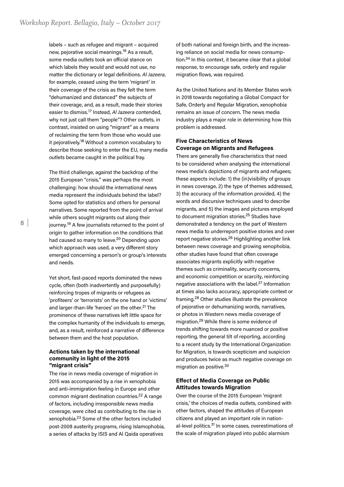labels – such as refugee and migrant – acquired new, pejorative social meanings.<sup>16</sup> As a result, some media outlets took an official stance on which labels they would and would not use, no matter the dictionary or legal definitions. *Al Jazeera*, for example, ceased using the term 'migrant' in their coverage of the crisis as they felt the term "dehumanized and distanced" the subjects of their coverage, and, as a result, made their stories easier to dismiss.17 Instead, *Al Jazeera* contended, why not just call them "people"? Other outlets, in contrast, insisted on using "migrant" as a means of reclaiming the term from those who would use it pejoratively.<sup>18</sup> Without a common vocabulary to describe those seeking to enter the EU, many media outlets became caught in the political fray.

The third challenge, against the backdrop of the 2015 European "crisis," was perhaps the most challenging: how should the international news media represent the individuals behind the label? Some opted for statistics and others for personal narratives. Some reported from the point of arrival while others sought migrants out along their journey.19 A few journalists returned to the point of origin to gather information on the conditions that had caused so many to leave.<sup>20</sup> Depending upon which approach was used, a very different story emerged concerning a person's or group's interests and needs.

Yet short, fast-paced reports dominated the news cycle, often (both inadvertently and purposefully) reinforcing tropes of migrants or refugees as 'profiteers' or 'terrorists' on the one hand or 'victims' and larger-than-life 'heroes' on the other.<sup>21</sup> The prominence of these narratives left little space for the complex humanity of the individuals to emerge, and, as a result, reinforced a narrative of difference between them and the host population.

#### **Actions taken by the international community in light of the 2015 "migrant crisis"**

The rise in news media coverage of migration in 2015 was accompanied by a rise in xenophobia and anti-immigration feeling in Europe and other common migrant destination countries.22 A range of factors, including irresponsible news media coverage, were cited as contributing to the rise in xenophobia.23 Some of the other factors included post-2008 austerity programs, rising Islamophobia, a series of attacks by ISIS and Al Qaida operatives

of both national and foreign birth, and the increasing reliance on social media for news consumption.24 In this context, it became clear that a global response, to encourage safe, orderly and regular migration flows, was required.

As the United Nations and its Member States work in 2018 towards negotiating a Global Compact for Safe, Orderly and Regular Migration, xenophobia remains an issue of concern. The news media industry plays a major role in determining how this problem is addressed.

#### **Five Characteristics of News Coverage on Migrants and Refugees**

There are generally five characteristics that need to be considered when analysing the international news media's depictions of migrants and refugees; these aspects include: 1) the (in)visibility of groups in news coverage, 2) the type of themes addressed, 3) the accuracy of the information provided, 4) the words and discursive techniques used to describe migrants, and 5) the images and pictures employed to document migration stories.25 Studies have demonstrated a tendency on the part of Western news media to underreport positive stories and over report negative stories.<sup>26</sup> Highlighting another link between news coverage and growing xenophobia, other studies have found that often coverage associates migrants explicitly with negative themes such as criminality, security concerns, and economic competition or scarcity, reinforcing negative associations with the label.<sup>27</sup> Information at times also lacks accuracy, appropriate context or framing.28 Other studies illustrate the prevalence of pejorative or dehumanizing words, narratives, or photos in Western news media coverage of migration.29 While there is some evidence of trends shifting towards more nuanced or positive reporting, the general tilt of reporting, according to a recent study by the International Organization for Migration, is towards scepticism and suspicion and produces twice as much negative coverage on migration as positive.30

#### **Effect of Media Coverage on Public Attitudes towards Migration**

Over the course of the 2015 European 'migrant crisis,' the choices of media outlets, combined with other factors, shaped the attitudes of European citizens and played an important role in national-level politics.31 In some cases, overestimations of the scale of migration played into public alarmism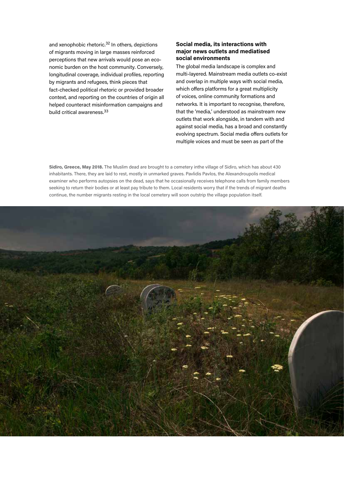and xenophobic rhetoric.<sup>32</sup> In others, depictions of migrants moving in large masses reinforced perceptions that new arrivals would pose an economic burden on the host community. Conversely, longitudinal coverage, individual profiles, reporting by migrants and refugees, think pieces that fact-checked political rhetoric or provided broader context, and reporting on the countries of origin all helped counteract misinformation campaigns and build critical awareness.33

#### **Social media, its interactions with major news outlets and mediatised social environments**

The global media landscape is complex and multi-layered. Mainstream media outlets co-exist and overlap in multiple ways with social media, which offers platforms for a great multiplicity of voices, online community formations and networks. It is important to recognise, therefore, that the 'media,' understood as mainstream new outlets that work alongside, in tandem with and against social media, has a broad and constantly evolving spectrum. Social media offers outlets for multiple voices and must be seen as part of the

**Sidiro, Greece, May 2018.** The Muslim dead are brought to a cemetery inthe village of Sidiro, which has about 430 inhabitants. There, they are laid to rest, mostly in unmarked graves. Pavlidis Pavlos, the Alexandroupolis medical examiner who performs autopsies on the dead, says that he occasionally receives telephone calls from family members seeking to return their bodies or at least pay tribute to them. Local residents worry that if the trends of migrant deaths continue, the number migrants resting in the local cemetery will soon outstrip the village population itself.

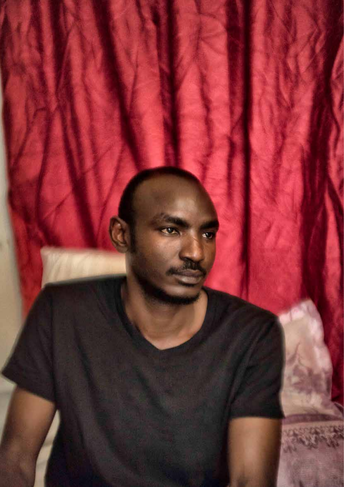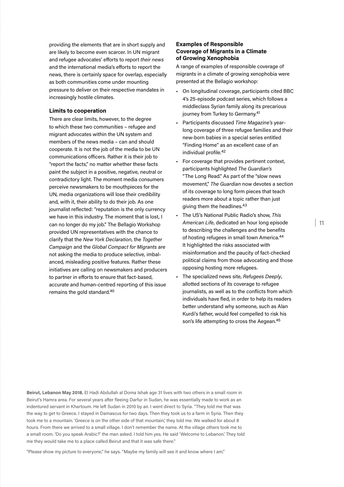providing the elements that are in short supply and are likely to become even scarcer. In UN migrant and refugee advocates' efforts to report *their news*  and the international media's efforts to report the news, there is certainly space for overlap, especially as both communities come under mounting pressure to deliver on their respective mandates in increasingly hostile climates.

#### **Limits to cooperation**

There are clear limits, however, to the degree to which these two communities – refugee and migrant advocates within the UN system and members of the news media – can and should cooperate. It is not the job of the media to be UN communications officers. Rather it is their job to "report the facts," no matter whether these facts paint the subject in a positive, negative, neutral or contradictory light. The moment media consumers perceive newsmakers to be mouthpieces for the UN, media organizations will lose their credibility and, with it, their ability to do their job. As one journalist reflected: "reputation is the only currency we have in this industry. The moment that is lost, I can no longer do my job." The Bellagio Workshop provided UN representatives with the chance to clarify that the *New York Declaration*, the *Together Campaign* and the *Global Compact for Migrants* are not asking the media to produce selective, imbalanced, misleading positive features. Rather these initiatives are calling on newsmakers and producers to partner in efforts to ensure that fact-based, accurate and human-centred reporting of this issue remains the gold standard.<sup>40</sup>

#### **Examples of Responsible Coverage of Migrants in a Climate of Growing Xenophobia**

A range of examples of responsible coverage of migrants in a climate of growing xenophobia were presented at the Bellagio workshop:

- On longitudinal coverage, participants cited BBC 4's 25-episode podcast series, which follows a middleclass Syrian family along its precarious journey from Turkey to Germany.<sup>41</sup>
- Participants discussed *Time Magazine's* yearlong coverage of three refugee families and their new-born babies in a special series entitled "Finding Home" as an excellent case of an individual profile.42
- For coverage that provides pertinent context, participants highlighted *The Guardian's*  "The Long Read." As part of the "slow news movement," *The Guardian* now devotes a section of its coverage to long form pieces that teach readers more about a topic rather than just giving them the headlines.43
- The US's National Public Radio's show, *This American Life*, dedicated an hour long episode to describing the challenges and the benefits of hosting refugees in small town America.<sup>44</sup> It highlighted the risks associated with misinformation and the paucity of fact-checked political claims from those advocating and those opposing hosting more refugees.
- The specialized news site, *Refugees Deeply*, allotted sections of its coverage to refugee journalists, as well as to the conflicts from which individuals have fled, in order to help its readers better understand why someone, such as Alan Kurdi's father, would feel compelled to risk his son's life attempting to cross the Aegean.<sup>45</sup>

**Beirut, Lebanon May 2018.** El Hadi Abdullah al Doma Ishak age 31 lives with two others in a small room in Beirut's Hamra area. For several years after fleeing Darfur in Sudan, he was essentially made to work as an indentured servant in Khartoum. He left Sudan in 2010 by air. I went direct to Syria. "They told me that was the way to get to Greece. I stayed in Damascus for two days. Then they took us to a farm in Syria. Then they took me to a mountain. 'Greece is on the other side of that mountain,' they told me. We walked for about 8 hours. From there we arrived to a small village. I don't remember the name. At the village others took me to a small room. 'Do you speak Arabic?' the man asked. I told him yes. He said 'Welcome to Lebanon.' They told me they would take me to a place called Beirut and that it was safe there."

"Please show my picture to everyone," he says. "Maybe my family will see it and know where I am."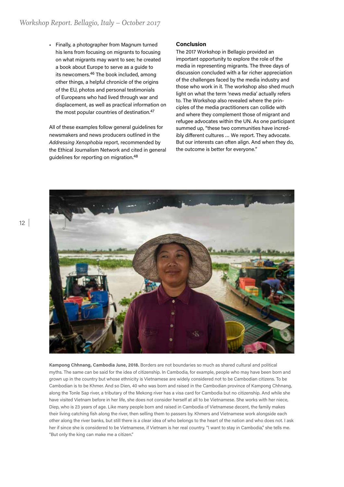• Finally, a photographer from Magnum turned his lens from focusing on migrants to focusing on what migrants may want to see; he created a book about Europe to serve as a guide to its newcomers.46 The book included, among other things, a helpful chronicle of the origins of the EU, photos and personal testimonials of Europeans who had lived through war and displacement, as well as practical information on the most popular countries of destination.<sup>47</sup>

All of these examples follow general guidelines for newsmakers and news producers outlined in the *Addressing Xenophobia* report, recommended by the Ethical Journalism Network and cited in general guidelines for reporting on migration.<sup>48</sup>

#### **Conclusion**

The 2017 Workshop in Bellagio provided an important opportunity to explore the role of the media in representing migrants. The three days of discussion concluded with a far richer appreciation of the challenges faced by the media industry and those who work in it. The workshop also shed much light on what the term 'news media' actually refers to. The Workshop also revealed where the principles of the media practitioners can collide with and where they complement those of migrant and refugee advocates within the UN. As one participant summed up, "these two communities have incredibly different cultures … We report. They advocate. But our interests can often align. And when they do, the outcome is better for everyone."



**Kampong Chhnang, Cambodia June, 2018.** Borders are not boundaries so much as shared cultural and political myths. The same can be said for the idea of citizenship. In Cambodia, for example, people who may have been born and grown up in the country but whose ethnicity is Vietnamese are widely considered not to be Cambodian citizens. To be Cambodian is to be Khmer. And so Dien, 40 who was born and raised in the Cambodian province of Kampong Chhnang, along the Tonle Sap river, a tributary of the Mekong river has a visa card for Cambodia but no citizenship. And while she have visited Vietnam before in her life, she does not consider herself at all to be Vietnamese. She works with her niece, Diep, who is 23 years of age. Like many people born and raised in Cambodia of Vietnamese decent, the family makes their living catching fish along the river, then selling them to passers by. Khmers and Vietnamese work alongside each other along the river banks, but still there is a clear idea of who belongs to the heart of the nation and who does not. I ask her if since she is considered to be Vietnamese, if Vietnam is her real country. "I want to stay in Cambodia," she tells me. "But only the king can make me a citizen."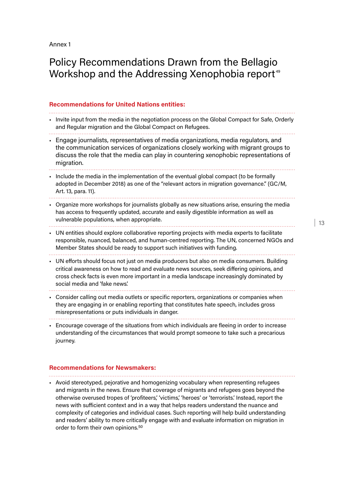## Policy Recommendations Drawn from the Bellagio Workshop and the Addressing Xenophobia report<sup>49</sup>

#### **Recommendations for United Nations entities:**

| Invite input from the media in the negotiation process on the Global Compact for Safe, Orderly<br>and Regular migration and the Global Compact on Refugees.                                                                                                                                                          |
|----------------------------------------------------------------------------------------------------------------------------------------------------------------------------------------------------------------------------------------------------------------------------------------------------------------------|
| • Engage journalists, representatives of media organizations, media regulators, and<br>the communication services of organizations closely working with migrant groups to<br>discuss the role that the media can play in countering xenophobic representations of<br>migration.                                      |
| Include the media in the implementation of the eventual global compact (to be formally<br>adopted in December 2018) as one of the "relevant actors in migration governance." (GC/M,<br>Art. 13, para. 11).                                                                                                           |
| - Organize more workshops for journalists globally as new situations arise, ensuring the media<br>has access to frequently updated, accurate and easily digestible information as well as<br>vulnerable populations, when appropriate.                                                                               |
| - UN entities should explore collaborative reporting projects with media experts to facilitate<br>responsible, nuanced, balanced, and human-centred reporting. The UN, concerned NGOs and<br>Member States should be ready to support such initiatives with funding.                                                 |
| • UN efforts should focus not just on media producers but also on media consumers. Building<br>critical awareness on how to read and evaluate news sources, seek differing opinions, and<br>cross check facts is even more important in a media landscape increasingly dominated by<br>social media and 'fake news'. |
| - Consider calling out media outlets or specific reporters, organizations or companies when<br>they are engaging in or enabling reporting that constitutes hate speech, includes gross<br>misrepresentations or puts individuals in danger.                                                                          |
| Encourage coverage of the situations from which individuals are fleeing in order to increase<br>understanding of the circumstances that would prompt someone to take such a precarious<br>journey.                                                                                                                   |

#### **Recommendations for Newsmakers:**

• Avoid stereotyped, pejorative and homogenizing vocabulary when representing refugees and migrants in the news. Ensure that coverage of migrants and refugees goes beyond the otherwise overused tropes of 'profiteers,' 'victims,' 'heroes' or 'terrorists.' Instead, report the news with sufficient context and in a way that helps readers understand the nuance and complexity of categories and individual cases. Such reporting will help build understanding and readers' ability to more critically engage with and evaluate information on migration in order to form their own opinions.50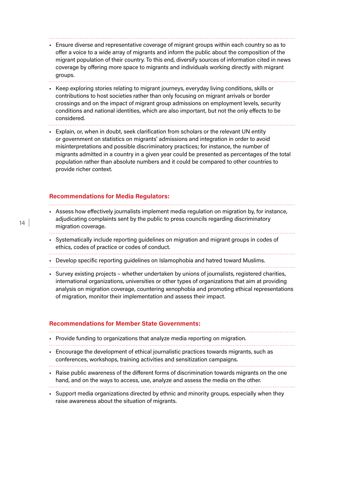- Ensure diverse and representative coverage of migrant groups within each country so as to offer a voice to a wide array of migrants and inform the public about the composition of the migrant population of their country. To this end, diversify sources of information cited in news coverage by offering more space to migrants and individuals working directly with migrant groups.
	-
- Keep exploring stories relating to migrant journeys, everyday living conditions, skills or contributions to host societies rather than only focusing on migrant arrivals or border crossings and on the impact of migrant group admissions on employment levels, security conditions and national identities, which are also important, but not the only effects to be considered.

• Explain, or, when in doubt, seek clarification from scholars or the relevant UN entity or government on statistics on migrants' admissions and integration in order to avoid misinterpretations and possible discriminatory practices; for instance, the number of migrants admitted in a country in a given year could be presented as percentages of the total population rather than absolute numbers and it could be compared to other countries to provide richer context.

#### **Recommendations for Media Regulators:**

- Assess how effectively journalists implement media regulation on migration by, for instance, adjudicating complaints sent by the public to press councils regarding discriminatory migration coverage.
- • Systematically include reporting guidelines on migration and migrant groups in codes of
- ethics, codes of practice or codes of conduct.
- Develop specific reporting guidelines on Islamophobia and hatred toward Muslims.
- 
- Survey existing projects whether undertaken by unions of journalists, registered charities, international organizations, universities or other types of organizations that aim at providing analysis on migration coverage, countering xenophobia and promoting ethical representations of migration, monitor their implementation and assess their impact.

#### **Recommendations for Member State Governments:**

- 
- Provide funding to organizations that analyze media reporting on migration.
- Encourage the development of ethical journalistic practices towards migrants, such as
- conferences, workshops, training activities and sensitization campaigns.
- Raise public awareness of the different forms of discrimination towards migrants on the one hand, and on the ways to access, use, analyze and assess the media on the other.
- Support media organizations directed by ethnic and minority groups, especially when they raise awareness about the situation of migrants.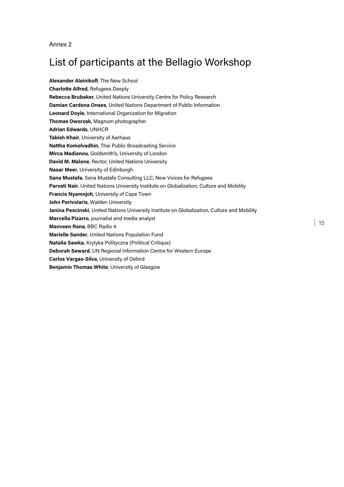Annex 2

# List of participants at the Bellagio Workshop

**Alexander Aleinikoff**, The New School **Charlotte Alfred**, Refugees Deeply **Rebecca Brubaker**, United Nations University Centre for Policy Research **Damian Cardona Onses**, United Nations Department of Public Information **Leonard Doyle**, International Organization for Migration **Thomas Dworzak**, Magnum photographer **Adrian Edwards**, UNHCR **Tabish Khair**, University of Aarhaus **Nattha Komolvadhin**, Thai Public Broadcasting Service **Mirca Madianou**, Goldsmith's, University of London **David M. Malone**, Rector, United Nations University **Nasar Meer**, University of Edinburgh **Sana Mustafa**, Sana Mustafa Consulting LLC, New Voices for Refugees **Parvati Nair**, United Nations University Institute on Globalization, Culture and Mobility **Francis Nyamnjoh**, University of Cape Town **John Perivolaris**, Walden University **Janina Pescinski**, United Nations University Institute on Globalization, Culture and Mobility **Marcella Pizarro**, journalist and media analyst **Manveen Rana**, BBC Radio 4 **Marielle Sander**, United Nations Population Fund **Natalia Sawka**, Krytyka Polityczna (Political Critique) **Deborah Seward**, UN Regional Information Centre for Western Europe **Carlos Vargas-Silva**, University of Oxford **Benjamin Thomas White**, University of Glasgow

| 15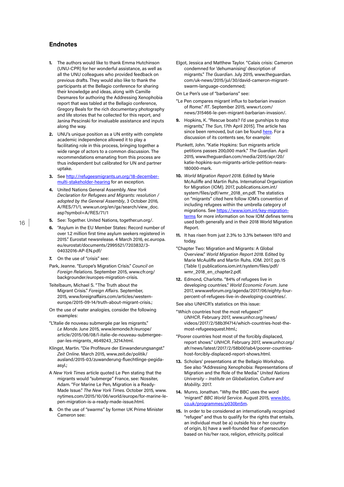#### **Endnotes**

- **1.** The authors would like to thank Emma Hutchinson (UNU-CPR) for her wonderful assistance, as well as all the UNU colleagues who provided feedback on previous drafts. They would also like to thank the participants at the Bellagio conference for sharing their knowledge and ideas, along with Camille Desmares for authoring the Addressing Xenophobia report that was tabled at the Bellagio conference, Gregory Beals for the rich documentary photography and life stories that he collected for this report, and Janina Pescinski for invaluable assistance and inputs along the way.
- **2.** UNU's unique position as a UN entity with complete academic independence allowed it to play a facilitating role in this process, bringing together a wide range of actors to a common discussion. The recommendations emanating from this process are thus independent but calibrated for UN and partner uptake.
- **3.** See http://refugeesmigrants.un.org/18-decembermulti-stakeholder-hearing for an exception.
- **4.** United Nations General Assembly. *New York Declaration for Refugees and Migrants: resolution / adopted by the General Assembly*, 3 October 2016, A/RES/71/1, www.un.org/en/ga/search/view\_doc. asp?symbol=A/RES/71/1
- **5.** See: Together. United Nations, together.un.org/.
- **6.** "Asylum in the EU Member States: Record number of over 1.2 million first time asylum seekers registered in 2015." Eurostat newsrelease. 4 March 2016, ec.europa. eu/eurostat/documents/2995521/7203832/3- 04032016-AP-EN.pdf/
- **7.** On the use of "crisis" see:
- Park, Jeanne. "Europe's Migration Crisis." *Council on Foreign Relations*. September 2015, www.cfr.org/ backgrounder/europes-migration-crisis.
- Teitelbaum, Michael S. "The Truth about the Migrant Crisis." *Foreign Affairs.* September, 2015, www.foreignaffairs.com/articles/westerneurope/2015-09-14/truth-about-migrant-crisis.;
- On the use of water analogies, consider the following examples:
- "L'Italie de nouveau submergée par les migrants." *Le Monde*. June 2015, www.lemonde.fr/europe/ article/2015/06/08/l-italie-de-nouveau-submergeepar-les-migrants\_4649243\_3214.html.
- Klingst, Martin. "Die Profiteure der Einwanderungsangst." *Zeit Online*. March 2015, www.zeit.de/politik/ ausland/2015-03/zuwanderung-fluechtlinge-pegidaasyl.;
- A *New York Times* article quoted Le Pen stating that the migrants would "submerge" France, see: Nossiter, Adam. "For Marine Le Pen, Migration is a Ready-Made Issue." *The New York Times*. October 2015, www. nytimes.com/2015/10/06/world/europe/for-marine-lepen-migration-is-a-ready-made-issue.html.
- **8.** On the use of "swarms" by former UK Prime Minister Cameron see:
- Elgot, Jessica and Matthew Taylor. "Calais crisis: Cameron condemned for 'dehumanising' description of migrants." *The Guardian*. July 2015, www.theguardian. com/uk-news/2015/jul/30/david-cameron-migrantswarm-language-condemned;
- On Le Pen's use of "barbarians" see:
- "Le Pen compares migrant influx to barbarian invasion of Rome." *RT*. September 2015, www.rt.com/ news/315466-le-pen-migrant-barbarian-invasion/.
- **9.** Hopkins, K. "Rescue boats? I'd use gunships to stop migrants," *The Sun*, 17th April 2015]. The article has since been removed, but can be found here. For a discussion of its contents see, for example:
- Plunkett, John. "Katie Hopkins: Sun migrants article petitions passes 200,000 mark." *The Guardian*. April 2015, www.theguardian.com/media/2015/apr/20/ katie-hopkins-sun-migrants-article-petition-nears-180000-mark.
- **10.** *World Migration Report 2018*. Edited by Marie McAuliffe and Martin Ruhs. International Organization for Migration (IOM). 2017, publications.iom.int/ system/files/pdf/wmr\_2018\_en.pdf. The statistics on "migrants" cited here follow IOM's convention of including refugees within the umbrella category of migrations. See https://www.iom.int/key-migrationterms for more information on how IOM defines terms used both generally and in their 2018 World Migration Report.
- **11.** It has risen from just 2.3% to 3.3% between 1970 and today.
- "Chapter Two: Migration and Migrants: A Global Overview." *World Migration Report 2018*. Edited by Marie McAuliffe and Martin Ruhs. IOM. 2017, pp.15 (Table 1) publications.iom.int/system/files/pdf/ wmr\_2018\_en\_chapter2.pdf.
- **12.** Edmond, Charlotte. "84% of refugees live in developing countries." *World Economic Forum*. June 2017, www.weforum.org/agenda/2017/06/eighty-fourpercent-of-refugees-live-in-developing-countries/.

See also UNHCR's statistics on this issue:

- "Which countries host the most refugees?" *UNHCR*. February 2017, www.unhcr.org/news/ videos/2017/2/58b3f4714/which-countries-host-themost-refugeesquest.html.;
- "Poorer countries host most of the forcibly displaced, report shows." *UNHCR*. February 2017, www.unhcr.org/ afr/news/latest/2017/2/58b001ab4/poorer-countrieshost-forcibly-displaced-report-shows.html.
- **13.** Scholars' presentations at the Bellagio Workshop. See also "Addressing Xenophobia: Representations of Migration and the Role of the Media." *United Nations University – Institute on Globalization, Culture and Mobility*. 2017.
- **14.** Munro, Jonathan. "Why the BBC uses the word 'migrant'." *BBC World Service*. August 2015, www.bbc. co.uk/programmes/p030bn5m.
- **15.** In order to be considered an internationally recognized "refugee" and thus to qualify for the rights that entails, an individual must be a) outside his or her country of origin, b) have a well-founded fear of persecution based on his/her race, religion, ethnicity, political

16 |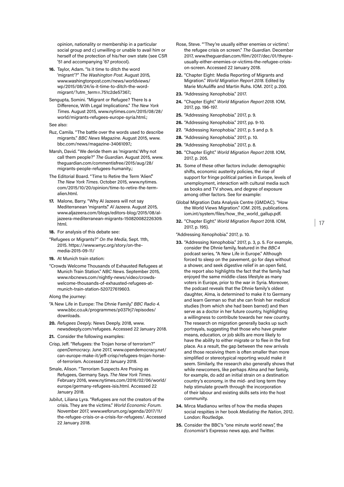opinion, nationality or membership in a particular social group and c) unwilling or unable to avail him or herself of the protection of his/her own state (see CSR '51 and accompanying '67 protocol).

- **16.** Taylor, Adam. "Is it time to ditch the word 'migrant'?" *The Washington Post*. August 2015, www.washingtonpost.com/news/worldviews/ wp/2015/08/24/is-it-time-to-ditch-the-wordmigrant/?utm\_term=.751c2de57367.;
- Sengupta, Somini. "Migrant or Refugee? There Is a Difference, With Legal Implications." *The New York Times*. August 2015, www.nytimes.com/2015/08/28/ world/migrants-refugees-europe-syria.html.;

#### See also:

- Ruz, Camila. "The battle over the words used to describe migrants." *BBC News Magazine*. August 2015, www. bbc.com/news/magazine-34061097.;
- Marsh, David. "We deride them as 'migrants'. Why not call them people?" *The Guardian*. August 2015, www. theguardian.com/commentisfree/2015/aug/28/ migrants-people-refugees-humanity.;
- The Editorial Board. "Time to Retire the Term 'Alien'." *The New York Times*. October 2015, www.nytimes. com/2015/10/20/opinion/time-to-retire-the-termalien.html.
- **17.** Malone, Barry. "Why Al Jazeera will not say Mediterranean 'migrants'." *Al Jazeera*. August 2015, www.aljazeera.com/blogs/editors-blog/2015/08/aljazeera-mediterranean-migrants-150820082226309. html.
- **18.** For analysis of this debate see:
- "Refugees or Migrants?" *On the Media*, Sept. 11th, 2015. https://www.wnyc.org/story/on-themedia-2015-09-11/
- **19.** At Munich train station:
- "Crowds Welcome Thousands of Exhausted Refugees at Munich Train Station." *NBC News*. September 2015, www.nbcnews.com/nightly-news/video/crowdswelcome-thousands-of-exhausted-refugees-atmunich-train-station-520727619603.
- Along the journey:
- "A New Life in Europe: The Dhnie Family." *BBC Radio 4*. www.bbc.co.uk/programmes/p037lrj7/episodes/ downloads.
- **20.** *Refugees Deeply*. News Deeply. 2018, www. newsdeeply.com/refugees. Accessed 22 January 2018.
- **21.** Consider the following examples:
- Crisp, Jeff. "Refugees: the Trojan horse of terrorism?" *openDemocracy*. June 2017, www.opendemocracy.net/ can-europe-make-it/jeff-crisp/refugees-trojan-horseof-terrorism. Accessed 22 January 2018.
- Smale, Alison. "Terrorism Suspects Are Posing as Refugees, Germany Says. *The New York Times*. February 2016, www.nytimes.com/2016/02/06/world/ europe/germany-refugees-isis.html. Accessed 22 January 2018.
- Jubilut, Liliana Lyra. "Refugees are not the creators of the crisis. They are the victims." *World Economic Forum*. November 2017, www.weforum.org/agenda/2017/11/ the-refugee-crisis-or-a-crisis-for-refugees/. Accessed 22 January 2018.
- Rose, Steve. "'They're usually either enemies or victims': the refugee crisis on screen." *The Guardian*. December 2017, www.theguardian.com/film/2017/dec/01/theyreusually-either-enemies-or-victims-the-refugee-crisison-screen. Accessed 22 January 2018.
- **22.** "Chapter Eight: Media Reporting of Migrants and Migration." *World Migration Report 2018*. Edited by Marie McAuliffe and Martin Ruhs. IOM. 2017, p.200.
- **23.** "Addressing Xenophobia." 2017.
- **24.** "Chapter Eight." *World Migration Report 2018*. IOM, 2017, pp. 196-197.
- **25.** "Addressing Xenophobia." 2017, p. 9.
- **26.** "Addressing Xenophobia." 2017, pp. 9-10.
- **27.** "Addressing Xenophobia." 2017, p. 5 and p. 9.
- **28.** "Addressing Xenophobia." 2017, p. 10.
- **29.** "Addressing Xenophobia." 2017, p. 8.
- **30.** "Chapter Eight." *World Migration Report 2018*. IOM, 2017, p. 205.
- **31.** Some of these other factors include: demographic shifts, economic austerity policies, the rise of support for fringe political parties in Europe, levels of unemployment, interaction with cultural media such as books and TV shows, and degree of exposure among other factors. See for example:
- Global Migration Data Analysis Centre (GMDAC). "How the World Views Migration." *IOM*. 2015, publications. iom.int/system/files/how\_the\_world\_gallup.pdf.
- **32.** "Chapter Eight." *World Migration Report* 2018. IOM, 2017, p. 195).

"Addressing Xenophobia." 2017, p. 10.

- **33.** "Addressing Xenophobia." 2017, p. 3, p. 5. For example, consider the Dhnie family, featured in the *BBC4*  podcast series, "A New Life in Europe." Although forced to sleep on the pavement, go for days without a shower, and seek digestive relief in an open field, the report also highlights the fact that the family had enjoyed the same middle-class lifestyle as many voters in Europe, prior to the war in Syria. Moreover, the podcast reveals that the Dhnie family's oldest daughter, Alma, is determined to make it to Germany and learn German so that she can finish her medical studies (from which she had been barred) and then serve as a doctor in her future country, highlighting a willingness to contribute towards her new country. The research on migration generally backs up such portrayals, suggesting that those who have greater means, education, or job skills are more likely to have the ability to either migrate or to flee in the first place. As a result, the gap between the new arrivals and those receiving them is often smaller than more simplified or stereotypical reporting would make it seem. Similarly, the research also generally shows that while newcomers, like perhaps Alma and her family, for example, do add an initial strain on a destination country's economy, in the mid- and long term they help stimulate growth through the incorporation of their labour and existing skills sets into the host community.
- **34.** Mirca Madianou writes of how the media shapes social respities in her book *Mediating the Nation*, 2012. London: Routledge.
- **35.** Consider the BBC's "one minute world news", the *Economist's* Expresso news app, and Twitter.